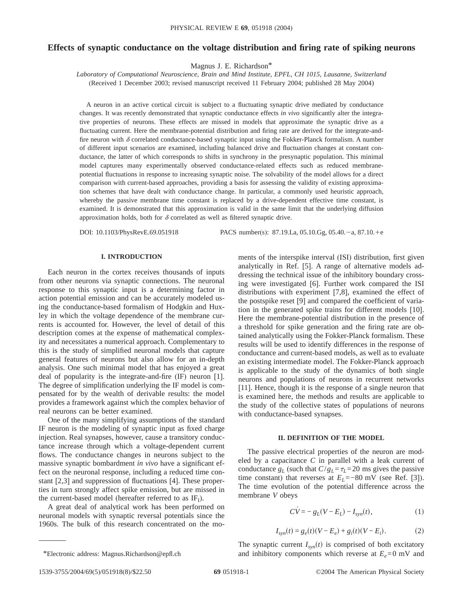# **Effects of synaptic conductance on the voltage distribution and firing rate of spiking neurons**

Magnus J. E. Richardson\*

*Laboratory of Computational Neuroscience, Brain and Mind Institute, EPFL, CH 1015, Lausanne, Switzerland* (Received 1 December 2003; revised manuscript received 11 February 2004; published 28 May 2004)

A neuron in an active cortical circuit is subject to a fluctuating synaptic drive mediated by conductance changes. It was recently demonstrated that synaptic conductance effects *in vivo* significantly alter the integrative properties of neurons. These effects are missed in models that approximate the synaptic drive as a fluctuating current. Here the membrane-potential distribution and firing rate are derived for the integrate-andfire neuron with  $\delta$  correlated conductance-based synaptic input using the Fokker-Planck formalism. A number of different input scenarios are examined, including balanced drive and fluctuation changes at constant conductance, the latter of which corresponds to shifts in synchrony in the presynaptic population. This minimal model captures many experimentally observed conductance-related effects such as reduced membranepotential fluctuations in response to increasing synaptic noise. The solvability of the model allows for a direct comparison with current-based approaches, providing a basis for assessing the validity of existing approximation schemes that have dealt with conductance change. In particular, a commonly used heuristic approach, whereby the passive membrane time constant is replaced by a drive-dependent effective time constant, is examined. It is demonstrated that this approximation is valid in the same limit that the underlying diffusion approximation holds, both for  $\delta$  correlated as well as filtered synaptic drive.

DOI: 10.1103/PhysRevE.69.051918 PACS number(s): 87.19.La, 05.10.Gg, 05.40. - a, 87.10. + e

# **I. INTRODUCTION**

Each neuron in the cortex receives thousands of inputs from other neurons via synaptic connections. The neuronal response to this synaptic input is a determining factor in action potential emission and can be accurately modeled using the conductance-based formalism of Hodgkin and Huxley in which the voltage dependence of the membrane currents is accounted for. However, the level of detail of this description comes at the expense of mathematical complexity and necessitates a numerical approach. Complementary to this is the study of simplified neuronal models that capture general features of neurons but also allow for an in-depth analysis. One such minimal model that has enjoyed a great deal of popularity is the integrate-and-fire (IF) neuron [1]. The degree of simplification underlying the IF model is compensated for by the wealth of derivable results: the model provides a framework against which the complex behavior of real neurons can be better examined.

One of the many simplifying assumptions of the standard IF neuron is the modeling of synaptic input as fixed charge injection. Real synapses, however, cause a transitory conductance increase through which a voltage-dependent current flows. The conductance changes in neurons subject to the massive synaptic bombardment *in vivo* have a significant effect on the neuronal response, including a reduced time constant [2,3] and suppression of fluctuations [4]. These properties in turn strongly affect spike emission, but are missed in the current-based model (hereafter referred to as  $IF<sub>I</sub>$ ).

A great deal of analytical work has been performed on neuronal models with synaptic reversal potentials since the 1960s. The bulk of this research concentrated on the moments of the interspike interval (ISI) distribution, first given analytically in Ref. [5]. A range of alternative models addressing the technical issue of the inhibitory boundary crossing were investigated [6]. Further work compared the ISI distributions with experiment [7,8], examined the effect of the postspike reset [9] and compared the coefficient of variation in the generated spike trains for different models [10]. Here the membrane-potential distribution in the presence of a threshold for spike generation and the firing rate are obtained analytically using the Fokker-Planck formalism. These results will be used to identify differences in the response of conductance and current-based models, as well as to evaluate an existing intermediate model. The Fokker-Planck approach is applicable to the study of the dynamics of both single neurons and populations of neurons in recurrent networks [11]. Hence, though it is the response of a single neuron that is examined here, the methods and results are applicable to the study of the collective states of populations of neurons with conductance-based synapses.

# **II. DEFINITION OF THE MODEL**

The passive electrical properties of the neuron are modeled by a capacitance *C* in parallel with a leak current of conductance  $g_L$  (such that  $C/g_L = \tau_L = 20$  ms gives the passive time constant) that reverses at  $E_L$ =−80 mV (see Ref. [3]). The time evolution of the potential difference across the membrane *V* obeys

$$
C\dot{V} = -g_L(V - E_L) - I_{syn}(t),
$$
\n(1)

$$
I_{syn}(t) = g_e(t)(V - E_e) + g_i(t)(V - E_i).
$$
 (2)

The synaptic current  $I_{syn}(t)$  is comprised of both excitatory \*Electronic address: Magnus.Richardson@epfl.ch and inhibitory components which reverse at  $E_e$ =0 mV and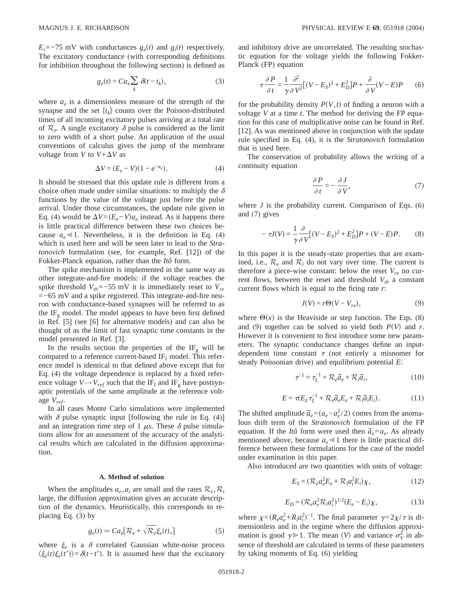$E_i = -75$  mV with conductances  $g_e(t)$  and  $g_i(t)$  respectively. The excitatory conductance (with corresponding definitions for inhibition throughout the following section) is defined as

$$
g_e(t) = Ca_e \sum_k \delta(t - t_k), \qquad (3)
$$

where  $a_e$  is a dimensionless measure of the strength of the synapse and the set  $\{t_k\}$  counts over the Poisson-distributed times of all incoming excitatory pulses arriving at a total rate of  $\mathcal{R}_e$ . A single excitatory  $\delta$  pulse is considered as the limit to zero width of a short pulse. An application of the usual conventions of calculus gives the jump of the membrane voltage from *V* to  $V + \Delta V$  as

$$
\Delta V = (E_e - V)(1 - e^{-a_e}).
$$
 (4)

It should be stressed that this update rule is different from a choice often made under similar situations: to multiply the  $\delta$ functions by the value of the voltage just before the pulse arrival. Under those circumstances, the update rule given in Eq. (4) would be  $\Delta V = (E_e - V)a_e$  instead. As it happens there is little practical difference between these two choices because  $a_e \ll 1$ . Nevertheless, it is the definition in Eq. (4) which is used here and will be seen later to lead to the *Stratonovich* formulation (see, for example, Ref. [12]) of the Fokker-Planck equation, rather than the *Itô* form.

The spike mechanism is implemented in the same way as other integrate-and-fire models: if the voltage reaches the spike threshold  $V_{th}$ =−55 mV it is immediately reset to  $V_{re}$ =−65 mV and a spike registered. This integrate-and-fire neuron with conductance-based synapses will be referred to as the  $IF_{\sigma}$  model. The model appears to have been first defined in Ref. [5] (see [6] for alternative models) and can also be thought of as the limit of fast synaptic time constants in the model presented in Ref. [3].

In the results section the properties of the IF<sub>g</sub> will be compared to a reference current-based  $IF_I$  model. This reference model is identical to that defined above except that for Eq. (4) the voltage dependence is replaced by a fixed reference voltage  $V \rightarrow V_{ref}$  such that the IF<sub>I</sub> and IF<sub>g</sub> have postsynaptic potentials of the same amplitude at the reference voltage *Vref*.

In all cases Monte Carlo simulations were implemented with  $\delta$  pulse synaptic input [following the rule in Eq. (4)] and an integration time step of 1  $\mu$ s. These  $\delta$  pulse simulations allow for an assessment of the accuracy of the analytical results which are calculated in the diffusion approximation.

#### **A. Method of solution**

When the amplitudes  $a_e, a_i$  are small and the rates  $\mathcal{R}_e, \mathcal{R}_i$ large, the diffusion approximation gives an accurate description of the dynamics. Heuristically, this corresponds to replacing Eq. (3) by

$$
g_e(t) \simeq Ca_e[\mathcal{R}_e + \sqrt{\mathcal{R}_e} \xi_e(t),]
$$
 (5)

where  $\xi_e$  is a  $\delta$  correlated Gaussian white-noise process  $\langle \xi_e(t) \xi_e(t') \rangle = \delta(t-t')$ . It is assumed here that the excitatory and inhibitory drive are uncorrelated. The resulting stochastic equation for the voltage yields the following Fokker-Planck (FP) equation

$$
\tau \frac{\partial P}{\partial t} = \frac{1}{\gamma} \frac{\partial^2}{\partial V^2} [(V - E_S)^2 + E_D^2] P + \frac{\partial}{\partial V} (V - E) P \tag{6}
$$

for the probability density  $P(V, t)$  of finding a neuron with a voltage *V* at a time *t*. The method for deriving the FP equation for this case of multiplicative noise can be found in Ref. [12]. As was mentioned above in conjunction with the update rule specified in Eq. (4), it is the *Stratonovich* formulation that is used here.

The conservation of probability allows the writing of a continuity equation

$$
\frac{\partial P}{\partial t} = -\frac{\partial J}{\partial V},\tag{7}
$$

where  $J$  is the probability current. Comparison of Eqs.  $(6)$ and (7) gives

$$
-\tau J(V) = \frac{1}{\gamma} \frac{\partial}{\partial V} [(V - E_S)^2 + E_D^2] P + (V - E) P.
$$
 (8)

In this paper it is the steady-state properties that are examined, i.e.,  $\mathcal{R}_e$  and  $\mathcal{R}_i$  do not vary over time. The current is therefore a piece-wise constant: below the reset  $V_{re}$  no current flows, between the reset and threshold  $V_{th}$  a constant current flows which is equal to the firing rate *r*:

$$
J(V) = r\Theta(V - V_{re}),\tag{9}
$$

where  $\Theta(x)$  is the Heaviside or step function. The Eqs. (8) and (9) together can be solved to yield both  $P(V)$  and *r*. However it is convenient to first introduce some new parameters. The synaptic conductance changes define an inputdependent time constant  $\tau$  (not entirely a misnomer for steady Poissonian drive) and equilibrium potential *E*:

$$
\tau^{-1} = \tau_L^{-1} + \mathcal{R}_e \tilde{a}_e + \mathcal{R}_i \tilde{a}_i, \qquad (10)
$$

$$
E = \tau (E_L \tau_L^{-1} + \mathcal{R}_e \tilde{a}_e E_e + \mathcal{R}_i \tilde{a}_i E_i).
$$
 (11)

The shifted amplitude  $\tilde{a}_e = (a_e - a_e^2 / 2)$  comes from the anomalous drift term of the *Stratonovich* formulation of the FP equation. If the *Itô* form were used then  $\tilde{a}_e = a_e$ . As already mentioned above, because  $a_e \ll 1$  there is little practical difference between these formulations for the case of the model under examination in this paper.

Also introduced are two quantities with units of voltage:

$$
E_S = (\mathcal{R}_e a_e^2 E_e + \mathcal{R}_i a_i^2 E_i) \chi, \qquad (12)
$$

$$
E_D = (\mathcal{R}_e a_e^2 \mathcal{R}_i a_i^2)^{1/2} (E_e - E_i) \chi, \tag{13}
$$

where  $\chi = (R_e a_e^2 + R_i a_i^2)^{-1}$ . The final parameter  $\gamma = 2\chi/\tau$  is dimensionless and in the regime where the diffusion approximation is good  $\gamma \geq 1$ . The mean  $\langle V \rangle$  and variance  $\sigma_V^2$  in absence of threshold are calculated in terms of these parameters by taking moments of Eq. (6) yielding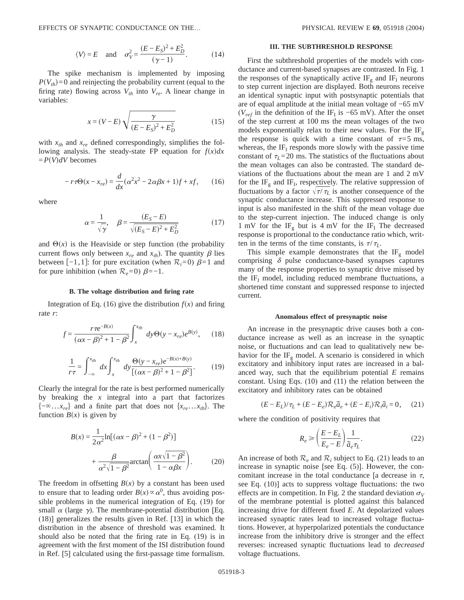$$
\langle V \rangle = E
$$
 and  $\sigma_V^2 = \frac{(E - E_S)^2 + E_D^2}{(\gamma - 1)}$ . (14)

The spike mechanism is implemented by imposing  $P(V_{th})$ =0 and reinjecting the probability current (equal to the firing rate) flowing across  $V_{th}$  into  $V_{re}$ . A linear change in variables:

$$
x = (V - E) \sqrt{\frac{\gamma}{(E - E_S)^2 + E_D^2}}
$$
 (15)

with  $x_{th}$  and  $x_{re}$  defined correspondingly, simplifies the following analysis. The steady-state FP equation for  $f(x)dx$  $= P(V)dV$  becomes

$$
-r\tau\Theta(x-x_{re})=\frac{d}{dx}(\alpha^2x^2-2\alpha\beta x+1)f+xf,\qquad(16)
$$

where

$$
\alpha = \frac{1}{\sqrt{\gamma}}, \quad \beta = \frac{(E_S - E)}{\sqrt{(E_S - E)^2 + E_D^2}}
$$
(17)

and  $\Theta(x)$  is the Heaviside or step function (the probability current flows only between  $x_{re}$  and  $x_{th}$ ). The quantity  $\beta$  lies between [-1,1]: for pure excitation (when  $\mathcal{R}_i$ =0)  $\beta$ =1 and for pure inhibition (when  $\mathcal{R}_e$ =0)  $\beta$ =−1.

### **B. The voltage distribution and firing rate**

Integration of Eq. (16) give the distribution  $f(x)$  and firing rate *r*:

$$
f = \frac{r\tau e^{-B(x)}}{(\alpha x - \beta)^2 + 1 - \beta^2} \int_{x}^{x_{th}} dy \Theta(y - x_{re}) e^{B(y)},
$$
 (18)

$$
\frac{1}{r\tau} = \int_{-\infty}^{x_{th}} dx \int_{x}^{x_{th}} dy \frac{\Theta(y - x_{re})e^{-B(x) + B(y)}}{\left[ (\alpha x - \beta)^2 + 1 - \beta^2 \right]}.
$$
(19)

Clearly the integral for the rate is best performed numerically by breaking the *x* integral into a part that factorizes h−`...*xre*j and a finite part that does not h*xre* ...*xth*j. The function  $B(x)$  is given by

$$
B(x) = \frac{1}{2\alpha^2} \ln[(\alpha x - \beta)^2 + (1 - \beta^2)]
$$

$$
+ \frac{\beta}{\alpha^2 \sqrt{1 - \beta^2}} \arctan\left(\frac{\alpha x \sqrt{1 - \beta^2}}{1 - \alpha \beta x}\right).
$$
(20)

The freedom in offsetting  $B(x)$  by a constant has been used to ensure that to leading order  $B(x) \propto \alpha^0$ , thus avoiding possible problems in the numerical integration of Eq. (19) for small  $\alpha$  (large  $\gamma$ ). The membrane-potential distribution [Eq. (18)] generalizes the results given in Ref. [13] in which the distribution in the absence of threshold was examined. It should also be noted that the firing rate in Eq. (19) is in agreement with the first moment of the ISI distribution found in Ref. [5] calculated using the first-passage time formalism.

# **III. THE SUBTHRESHOLD RESPONSE**

First the subthreshold properties of the models with conductance and current-based synapses are contrasted. In Fig. 1 the responses of the synaptically active  $IF_g$  and  $IF_I$  neurons to step current injection are displayed. Both neurons receive an identical synaptic input with postsynaptic potentials that are of equal amplitude at the initial mean voltage of −65 mV  $(V_{ref}$  in the definition of the IF<sub>I</sub> is −65 mV). After the onset of the step current at 100 ms the mean voltages of the two models exponentially relax to their new values. For the IF<sub>g</sub> the response is quick with a time constant of  $\tau=5$  ms, whereas, the  $IF<sub>I</sub>$  responds more slowly with the passive time constant of  $\tau_L$ =20 ms. The statistics of the fluctuations about the mean voltages can also be contrasted. The standard deviations of the fluctuations about the mean are 1 and 2 mV for the IF<sub>g</sub> and IF<sub>I</sub>, respectively. The relative suppression of fluctuations by a factor  $\sqrt{\tau}/\tau_L$  is another consequence of the synaptic conductance increase. This suppressed response to input is also manifested in the shift of the mean voltage due to the step-current injection. The induced change is only 1 mV for the  $IF_g$  but is 4 mV for the IF<sub>I</sub> The decreased response is proportional to the conductance ratio which, written in the terms of the time constants, is  $\tau/\tau_L$ .

This simple example demonstrates that the  $IF<sub>g</sub>$  model comprising  $\delta$  pulse conductance-based synapses captures many of the response properties to synaptic drive missed by the  $IF<sub>I</sub>$  model, including reduced membrane fluctuations, a shortened time constant and suppressed response to injected current.

## **Anomalous effect of presynaptic noise**

An increase in the presynaptic drive causes both a conductance increase as well as an increase in the synaptic noise, or fluctuations and can lead to qualitatively new behavior for the  $IF_g$  model. A scenario is considered in which excitatory and inhibitory input rates are increased in a balanced way, such that the equilibrium potential *E* remains constant. Using Eqs. (10) and (11) the relation between the excitatory and inhibitory rates can be obtained

$$
(E - E_L)/\tau_L + (E - E_e)\mathcal{R}_e\tilde{a}_e + (E - E_i)\mathcal{R}_i\tilde{a}_i = 0, \quad (21)
$$

where the condition of positivity requires that

$$
R_e \ge \left(\frac{E - E_L}{E_e - E}\right) \frac{1}{\tilde{a}_e \tau_L}.
$$
\n(22)

An increase of both  $\mathcal{R}_e$  and  $\mathcal{R}_i$  subject to Eq. (21) leads to an increase in synaptic noise [see Eq. (5)]. However, the concomitant increase in the total conductance [a decrease in  $\tau$ , see Eq. (10)] acts to suppress voltage fluctuations: the two effects are in competition. In Fig. 2 the standard deviation  $\sigma_V$ of the membrane potential is plotted against this balanced increasing drive for different fixed *E*. At depolarized values increased synaptic rates lead to increased voltage fluctuations. However, at hyperpolarized potentials the conductance increase from the inhibitory drive is stronger and the effect reverses: increased synaptic fluctuations lead to *decreased* voltage fluctuations.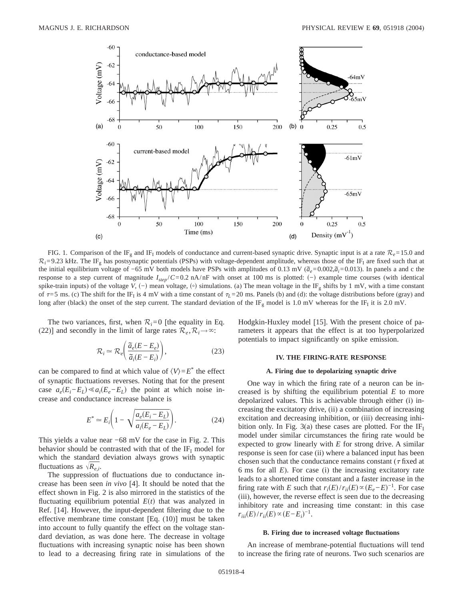

FIG. 1. Comparison of the IF<sub>g</sub> and IF<sub>I</sub> models of conductance and current-based synaptic drive. Synaptic input is at a rate  $\mathcal{R}_e$ =15.0 and  $\mathcal{R}_i$ =9.23 kHz. The IF<sub>g</sub> has postsynaptic potentials (PSPs) with voltage-dependent amplitude, whereas those of the IF<sub>I</sub> are fixed such that at the initial equilibrium voltage of −65 mV both models have PSPs with amplitudes of 0.13 mV ( $\tilde{a}_e$ =0.002, $\tilde{a}_i$ =0.013). In panels a and c the response to a step current of magnitude  $I_{step}/C=0.2$  nA/nF with onset at 100 ms is plotted: (−) example time courses (with identical spike-train inputs) of the voltage *V*,  $(-)$  mean voltage,  $\circ$  simulations. (a) The mean voltage in the IF<sub>g</sub> shifts by 1 mV, with a time constant of  $\tau$ =5 ms. (c) The shift for the IF<sub>I</sub> is 4 mV with a time constant of  $\tau$ <sub>L</sub>=20 ms. Panels (b) and (d): the voltage distributions before (gray) and long after (black) the onset of the step current. The standard deviation of the IF<sub>g</sub> model is 1.0 mV whereas for the IF<sub>I</sub> it is 2.0 mV.

The two variances, first, when  $\mathcal{R}_i = 0$  [the equality in Eq. (22)] and secondly in the limit of large rates  $\mathcal{R}_e, \mathcal{R}_i \rightarrow \infty$ :

$$
\mathcal{R}_i \simeq \mathcal{R}_e \bigg( \frac{\tilde{a}_e (E - E_e)}{\tilde{a}_i (E - E_i)} \bigg), \tag{23}
$$

can be compared to find at which value of  $\langle V \rangle = E^*$  the effect of synaptic fluctuations reverses. Noting that for the present case  $a_e(E_i - E_l) \le a_i(E_e - E_l)$  the point at which noise increase and conductance increase balance is

$$
E^* \simeq E_i \bigg( 1 - \sqrt{\frac{a_e(E_i - E_L)}{a_i(E_e - E_L)}} \bigg). \tag{24}
$$

This yields a value near −68 mV for the case in Fig. 2. This behavior should be contrasted with that of the  $IF<sub>I</sub>$  model for which the standard deviation always grows with synaptic fluctuations as  $\sqrt{R_{e,i}}$ .

The suppression of fluctuations due to conductance increase has been seen *in vivo* [4]. It should be noted that the effect shown in Fig. 2 is also mirrored in the statistics of the fluctuating equilibrium potential  $E(t)$  that was analyzed in Ref. [14]. However, the input-dependent filtering due to the effective membrane time constant [Eq. (10)] must be taken into account to fully quantify the effect on the voltage standard deviation, as was done here. The decrease in voltage fluctuations with increasing synaptic noise has been shown to lead to a decreasing firing rate in simulations of the Hodgkin-Huxley model [15]. With the present choice of parameters it appears that the effect is at too hyperpolarized potentials to impact significantly on spike emission.

## **IV. THE FIRING-RATE RESPONSE**

# **A. Firing due to depolarizing synaptic drive**

One way in which the firing rate of a neuron can be increased is by shifting the equilibrium potential *E* to more depolarized values. This is achievable through either (i) increasing the excitatory drive, (ii) a combination of increasing excitation and decreasing inhibition, or (iii) decreasing inhibition only. In Fig. 3(a) these cases are plotted. For the  $IF<sub>I</sub>$ model under similar circumstances the firing rate would be expected to grow linearly with *E* for strong drive. A similar response is seen for case (ii) where a balanced input has been chosen such that the conductance remains constant ( $\tau$  fixed at 6 ms for all *E*). For case (i) the increasing excitatory rate leads to a shortened time constant and a faster increase in the firing rate with *E* such that  $r_i(E)/r_{ii}(E) \propto (E_e - E)^{-1}$ . For case (iii), however, the reverse effect is seen due to the decreasing inhibitory rate and increasing time constant: in this case  $r_{iii}(E)/r_{ii}(E) \propto (E-E_i)^{-1}.$ 

### **B. Firing due to increased voltage fluctuations**

An increase of membrane-potential fluctuations will tend to increase the firing rate of neurons. Two such scenarios are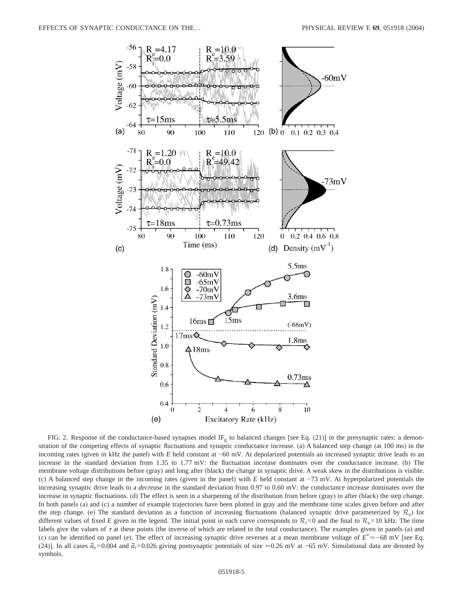

FIG. 2. Response of the conductance-based synapses model IF<sub>g</sub> to balanced changes [see Eq. (21)] in the presynaptic rates: a demonstration of the competing effects of synaptic fluctuations and synaptic conductance increase. (a) A balanced step change (at 100 ms) in the incoming rates (given in kHz the panel) with *E* held constant at −60 mV. At depolarized potentials an increased synaptic drive leads to an increase in the standard deviation from 1.35 to 1.77 mV: the fluctuation increase dominates over the conductance increase. (b) The membrane voltage distributions before (gray) and long after (black) the change in synaptic drive. A weak skew in the distributions is visible. (c) A balanced step change in the incoming rates (given in the panel) with *E* held constant at −73 mV. At hyperpolarized potentials the increasing synaptic drive leads to a *decrease* in the standard deviation from 0.97 to 0.60 mV: the conductance increase dominates over the increase in synaptic fluctuations. (d) The effect is seen in a sharpening of the distribution from before (gray) to after (black) the step change. In both panels (a) and (c) a number of example trajectories have been plotted in gray and the membrane time scales given before and after the step change. (e) The standard deviation as a function of increasing fluctuations (balanced synaptic drive parameterized by  $\mathcal{R}_e$ ) for different values of fixed *E* given in the legend. The initial point in each curve corresponds to  $\mathcal{R}_i$ =0 and the final to  $\mathcal{R}_e$ =10 kHz. The time labels give the values of  $\tau$  at these points (the inverse of which are related to the total conductance). The examples given in panels (a) and (c) can be identified on panel (e). The effect of increasing synaptic drive reverses at a mean membrane voltage of  $E^* \approx -68$  mV [see Eq. (24)]. In all cases  $\tilde{a}_e = 0.004$  and  $\tilde{a}_i = 0.026$  giving postsynaptic potentials of size  $\approx$ 0.26 mV at −65 mV. Simulational data are denoted by symbols.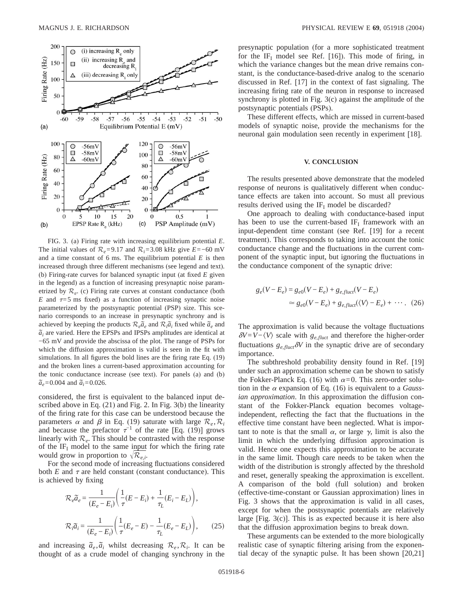

FIG. 3. (a) Firing rate with increasing equilibrium potential *E*. The initial values of  $\mathcal{R}_e$ =9.17 and  $\mathcal{R}_i$ =3.08 kHz give  $E$ =−60 mV and a time constant of  $6$  ms. The equilibrium potential  $E$  is then increased through three different mechanisms (see legend and text). (b) Firing-rate curves for balanced synaptic input (at fixed *E* given in the legend) as a function of increasing presynaptic noise parametrized by  $\mathcal{R}_{e}$ . (c) Firing rate curves at constant conductance (both *E* and  $\tau = 5$  ms fixed) as a function of increasing synaptic noise parameterized by the postsynaptic potential (PSP) size. This scenario corresponds to an increase in presynaptic synchrony and is achieved by keeping the products  $\mathcal{R}_{e}\tilde{a}_{e}$  and  $\mathcal{R}_{i}\tilde{a}_{i}$  fixed while  $\tilde{a}_{e}$  and  $\tilde{a}_i$  are varied. Here the EPSPs and IPSPs amplitudes are identical at −65 mV and provide the abscissa of the plot. The range of PSPs for which the diffusion approximation is valid is seen in the fit with simulations. In all figures the bold lines are the firing rate Eq. (19) and the broken lines a current-based approximation accounting for the tonic conductance increase (see text). For panels (a) and (b)  $\tilde{a}_e = 0.004$  and  $\tilde{a}_i = 0.026$ .

considered, the first is equivalent to the balanced input described above in Eq. (21) and Fig. 2. In Fig. 3(b) the linearity of the firing rate for this case can be understood because the parameters  $\alpha$  and  $\beta$  in Eq. (19) saturate with large  $\mathcal{R}_e$ ,  $\mathcal{R}_i$ and because the prefactor  $\tau^{-1}$  of the rate [Eq. (19)] grows linearly with  $\mathcal{R}_e$ . This should be contrasted with the response of the IF<sub>I</sub> model to the same input for which the firing rate would grow in proportion to  $\sqrt{\mathcal{R}_{e,i}}$ .

For the second mode of increasing fluctuations considered both  $E$  and  $\tau$  are held constant (constant conductance). This is achieved by fixing

$$
\mathcal{R}_e \tilde{a}_e = \frac{1}{(E_e - E_i)} \left( \frac{1}{\tau} (E - E_i) + \frac{1}{\tau_L} (E_i - E_L) \right),
$$
  

$$
\mathcal{R}_i \tilde{a}_i = \frac{1}{(E_e - E_i)} \left( \frac{1}{\tau} (E_e - E) - \frac{1}{\tau_L} (E_e - E_L) \right),
$$
 (25)

and increasing  $\tilde{a}_e$ ,  $\tilde{a}_i$  whilst decreasing  $\mathcal{R}_e$ ,  $\mathcal{R}_i$ . It can be thought of as a crude model of changing synchrony in the presynaptic population (for a more sophisticated treatment for the IF<sub>I</sub> model see Ref. [16]). This mode of firing, in which the variance changes but the mean drive remains constant, is the conductance-based-drive analog to the scenario discussed in Ref. [17] in the context of fast signaling. The increasing firing rate of the neuron in response to increased synchrony is plotted in Fig. 3(c) against the amplitude of the postsynaptic potentials (PSPs).

These different effects, which are missed in current-based models of synaptic noise, provide the mechanisms for the neuronal gain modulation seen recently in experiment [18].

# **V. CONCLUSION**

The results presented above demonstrate that the modeled response of neurons is qualitatively different when conductance effects are taken into account. So must all previous results derived using the  $IF<sub>I</sub>$  model be discarded?

One approach to dealing with conductance-based input has been to use the current-based  $IF<sub>I</sub>$  framework with an input-dependent time constant (see Ref. [19] for a recent treatment). This corresponds to taking into account the tonic conductance change and the fluctuations in the current component of the synaptic input, but ignoring the fluctuations in the conductance component of the synaptic drive:

$$
g_e(V - E_e) = g_{e0}(V - E_e) + g_{e,fluct}(V - E_e)
$$
  
\n
$$
\approx g_{e0}(V - E_e) + g_{e,fluct}(\langle V \rangle - E_e) + \cdots. \tag{26}
$$

The approximation is valid because the voltage fluctuations  $\delta V = V - \langle V \rangle$  scale with  $g_{e, fluct}$  and therefore the higher-order fluctuations  $g_{e, fluct}\delta V$  in the synaptic drive are of secondary importance.

The subthreshold probability density found in Ref. [19] under such an approximation scheme can be shown to satisfy the Fokker-Planck Eq. (16) with  $\alpha=0$ . This zero-order solution in the  $\alpha$  expansion of Eq. (16) is equivalent to a *Gaussian approximation*. In this approximation the diffusion constant of the Fokker-Planck equation becomes voltageindependent, reflecting the fact that the fluctuations in the effective time constant have been neglected. What is important to note is that the small  $\alpha$ , or large  $\gamma$ , limit is also the limit in which the underlying diffusion approximation is valid. Hence one expects this approximation to be accurate in the same limit. Though care needs to be taken when the width of the distribution is strongly affected by the threshold and reset, generally speaking the approximation is excellent. A comparison of the bold (full solution) and broken (effective-time-constant or Gaussian approximation) lines in Fig. 3 shows that the approximation is valid in all cases, except for when the postsynaptic potentials are relatively large  $[Fig. 3(c)]$ . This is as expected because it is here also that the diffusion approximation begins to break down.

These arguments can be extended to the more biologically realistic case of synaptic filtering arising from the exponential decay of the synaptic pulse. It has been shown [20,21]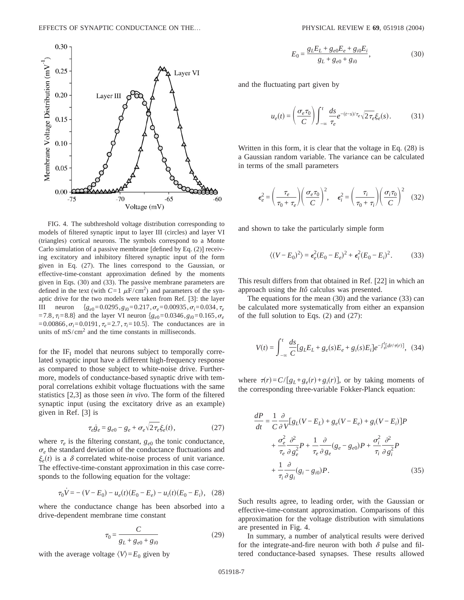

FIG. 4. The subthreshold voltage distribution corresponding to models of filtered synaptic input to layer III (circles) and layer VI (triangles) cortical neurons. The symbols correspond to a Monte Carlo simulation of a passive membrane [defined by Eq. (2)] receiving excitatory and inhibitory filtered synaptic input of the form given in Eq. (27). The lines correspond to the Gaussian, or effective-time-constant approximation defined by the moments given in Eqs. (30) and (33). The passive membrane parameters are defined in the text (with  $C=1 \mu F/cm^2$ ) and parameters of the synaptic drive for the two models were taken from Ref. [3]: the layer III neuron  $\{g_{e0}=0.0295, g_{i0}=0.217, \sigma_e=0.00935, \sigma_i=0.034, \tau_e$ =7.8,  $\tau_i$ =8.8} and the layer VI neuron  $\{g_{e0}=0.0346, g_{i0}=0.165, \sigma_e\}$  $=0.00866, \sigma_i=0.0191, \tau_e=2.7, \tau_i=10.5$ . The conductances are in units of  $mS/cm<sup>2</sup>$  and the time constants in milliseconds.

for the  $IF<sub>I</sub>$  model that neurons subject to temporally correlated synaptic input have a different high-frequency response as compared to those subject to white-noise drive. Furthermore, models of conductance-based synaptic drive with temporal correlations exhibit voltage fluctuations with the same statistics [2,3] as those seen *in vivo*. The form of the filtered synaptic input (using the excitatory drive as an example) given in Ref. [3] is

$$
\tau_e \dot{g}_e = g_{e0} - g_e + \sigma_e \sqrt{2 \tau_e} \xi_e(t), \qquad (27)
$$

where  $\tau_e$  is the filtering constant,  $g_{e0}$  the tonic conductance,  $\sigma_e$  the standard deviation of the conductance fluctuations and  $\xi_e(t)$  is a  $\delta$  correlated white-noise process of unit variance. The effective-time-constant approximation in this case corresponds to the following equation for the voltage:

$$
\tau_0 \dot{V} = - (V - E_0) - u_e(t)(E_0 - E_e) - u_i(t)(E_0 - E_i), \quad (28)
$$

where the conductance change has been absorbed into a drive-dependent membrane time constant

$$
\tau_0 = \frac{C}{g_L + g_{e0} + g_{i0}}\tag{29}
$$

with the average voltage  $\langle V \rangle = E_0$  given by

$$
E_0 = \frac{g_L E_L + g_{e0} E_e + g_{i0} E_i}{g_L + g_{e0} + g_{i0}},
$$
\n(30)

and the fluctuating part given by

$$
u_e(t) = \left(\frac{\sigma_e \tau_0}{C}\right) \int_{-\infty}^t \frac{ds}{\tau_e} e^{-(t-s)/\tau_e} \sqrt{2\tau_e} \xi_e(s).
$$
 (31)

Written in this form, it is clear that the voltage in Eq. (28) is a Gaussian random variable. The variance can be calculated in terms of the small parameters

$$
\epsilon_e^2 = \left(\frac{\tau_e}{\tau_0 + \tau_e}\right) \left(\frac{\sigma_e \tau_0}{C}\right)^2, \quad \epsilon_i^2 = \left(\frac{\tau_i}{\tau_0 + \tau_i}\right) \left(\frac{\sigma_i \tau_0}{C}\right)^2 \quad (32)
$$

and shown to take the particularly simple form

$$
\langle (V - E_0)^2 \rangle = \epsilon_e^2 (E_0 - E_e)^2 + \epsilon_i^2 (E_0 - E_i)^2. \tag{33}
$$

This result differs from that obtained in Ref. [22] in which an approach using the *Itô* calculus was presented.

The equations for the mean (30) and the variance (33) can be calculated more systematically from either an expansion of the full solution to Eqs. (2) and (27):

$$
V(t) = \int_{-\infty}^{t} \frac{ds}{C} [g_L E_L + g_e(s) E_e + g_i(s) E_i] e^{-\int_{s}^{t} [dr/\tau(r)]},
$$
 (34)

where  $\tau(r) = C/[g_L+g_e(r)+g_i(r)]$ , or by taking moments of the corresponding three-variable Fokker-Planck equation:

$$
\frac{dP}{dt} = \frac{1}{C} \frac{\partial}{\partial V} [g_L(V - E_L) + g_e(V - E_e) + g_i(V - E_i)]P
$$
  
+ 
$$
\frac{\sigma_e^2}{\tau_e} \frac{\partial^2}{\partial g_e^2} P + \frac{1}{\tau_e} \frac{\partial}{\partial g_e} (g_e - g_{e0})P + \frac{\sigma_i^2}{\tau_i} \frac{\partial^2}{\partial g_i^2} P
$$
  
+ 
$$
\frac{1}{\tau_i} \frac{\partial}{\partial g_i} (g_i - g_{i0})P.
$$
(35)

Such results agree, to leading order, with the Gaussian or effective-time-constant approximation. Comparisons of this approximation for the voltage distribution with simulations are presented in Fig. 4.

In summary, a number of analytical results were derived for the integrate-and-fire neuron with both  $\delta$  pulse and filtered conductance-based synapses. These results allowed